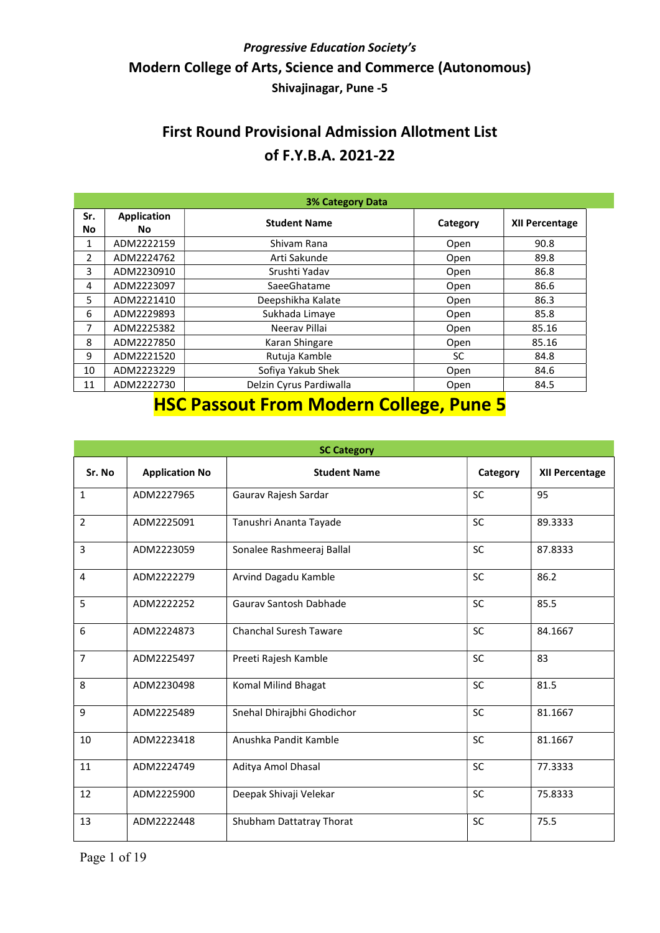### First Round Provisional Admission Allotment List of F.Y.B.A. 2021-22

| <b>3% Category Data</b> |                           |                         |          |                       |  |
|-------------------------|---------------------------|-------------------------|----------|-----------------------|--|
| Sr.<br>No               | <b>Application</b><br>No. | <b>Student Name</b>     | Category | <b>XII Percentage</b> |  |
| 1                       | ADM2222159                | Shivam Rana             | Open     | 90.8                  |  |
| 2                       | ADM2224762                | Arti Sakunde            | Open     | 89.8                  |  |
| 3                       | ADM2230910                | Srushti Yadav           | Open     | 86.8                  |  |
| 4                       | ADM2223097                | SaeeGhatame             | Open     | 86.6                  |  |
| 5                       | ADM2221410                | Deepshikha Kalate       | Open     | 86.3                  |  |
| 6                       | ADM2229893                | Sukhada Limaye          | Open     | 85.8                  |  |
| 7                       | ADM2225382                | Neerav Pillai           | Open     | 85.16                 |  |
| 8                       | ADM2227850                | Karan Shingare          | Open     | 85.16                 |  |
| 9                       | ADM2221520                | Rutuja Kamble           | SC       | 84.8                  |  |
| 10                      | ADM2223229                | Sofiya Yakub Shek       | Open     | 84.6                  |  |
| 11                      | ADM2222730                | Delzin Cyrus Pardiwalla | Open     | 84.5                  |  |

## HSC Passout From Modern College, Pune 5

| <b>SC Category</b> |                       |                               |           |                       |  |
|--------------------|-----------------------|-------------------------------|-----------|-----------------------|--|
| Sr. No             | <b>Application No</b> | <b>Student Name</b>           | Category  | <b>XII Percentage</b> |  |
| $\mathbf{1}$       | ADM2227965            | Gaurav Rajesh Sardar          | <b>SC</b> | 95                    |  |
| $\overline{2}$     | ADM2225091            | Tanushri Ananta Tayade        | <b>SC</b> | 89.3333               |  |
| 3                  | ADM2223059            | Sonalee Rashmeeraj Ballal     | <b>SC</b> | 87.8333               |  |
| $\overline{4}$     | ADM2222279            | Arvind Dagadu Kamble          | SC        | 86.2                  |  |
| 5                  | ADM2222252            | Gauray Santosh Dabhade        | <b>SC</b> | 85.5                  |  |
| 6                  | ADM2224873            | <b>Chanchal Suresh Taware</b> | SC        | 84.1667               |  |
| $\overline{7}$     | ADM2225497            | Preeti Rajesh Kamble          | SC        | 83                    |  |
| 8                  | ADM2230498            | Komal Milind Bhagat           | <b>SC</b> | 81.5                  |  |
| 9                  | ADM2225489            | Snehal Dhirajbhi Ghodichor    | <b>SC</b> | 81.1667               |  |
| 10                 | ADM2223418            | Anushka Pandit Kamble         | <b>SC</b> | 81.1667               |  |
| 11                 | ADM2224749            | Aditya Amol Dhasal            | <b>SC</b> | 77.3333               |  |
| 12                 | ADM2225900            | Deepak Shivaji Velekar        | SC        | 75.8333               |  |
| 13                 | ADM2222448            | Shubham Dattatray Thorat      | <b>SC</b> | 75.5                  |  |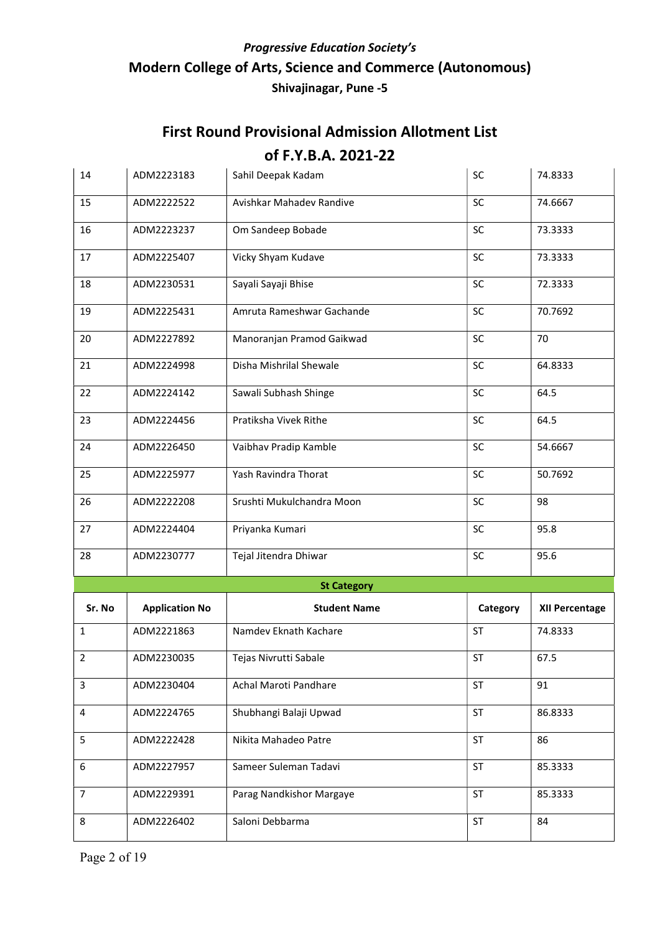| 14             | ADM2223183            | Sahil Deepak Kadam        | SC        | 74.8333        |
|----------------|-----------------------|---------------------------|-----------|----------------|
| 15             | ADM2222522            | Avishkar Mahadev Randive  | SC        | 74.6667        |
| 16             | ADM2223237            | Om Sandeep Bobade         | SC        | 73.3333        |
| 17             | ADM2225407            | Vicky Shyam Kudave        | SC        | 73.3333        |
| 18             | ADM2230531            | Sayali Sayaji Bhise       | SC        | 72.3333        |
| 19             | ADM2225431            | Amruta Rameshwar Gachande | SC        | 70.7692        |
| 20             | ADM2227892            | Manoranjan Pramod Gaikwad | <b>SC</b> | 70             |
| 21             | ADM2224998            | Disha Mishrilal Shewale   | SC        | 64.8333        |
| 22             | ADM2224142            | Sawali Subhash Shinge     | <b>SC</b> | 64.5           |
| 23             | ADM2224456            | Pratiksha Vivek Rithe     | SC        | 64.5           |
| 24             | ADM2226450            | Vaibhav Pradip Kamble     | <b>SC</b> | 54.6667        |
| 25             | ADM2225977            | Yash Ravindra Thorat      | <b>SC</b> | 50.7692        |
| 26             | ADM2222208            | Srushti Mukulchandra Moon | <b>SC</b> | 98             |
| 27             | ADM2224404            | Priyanka Kumari           | SC        | 95.8           |
| 28             | ADM2230777            | Tejal Jitendra Dhiwar     | SC        | 95.6           |
|                |                       | <b>St Category</b>        |           |                |
| Sr. No         | <b>Application No</b> | <b>Student Name</b>       | Category  | XII Percentage |
| $\mathbf{1}$   | ADM2221863            | Namdev Eknath Kachare     | <b>ST</b> | 74.8333        |
| 2              | ADM2230035            | Tejas Nivrutti Sabale     | <b>ST</b> | 67.5           |
| $\mathsf{3}$   | ADM2230404            | Achal Maroti Pandhare     | ST        | 91             |
| 4              | ADM2224765            | Shubhangi Balaji Upwad    | ST        | 86.8333        |
| 5              | ADM2222428            | Nikita Mahadeo Patre      | <b>ST</b> | 86             |
| 6              | ADM2227957            | Sameer Suleman Tadavi     | <b>ST</b> | 85.3333        |
| $\overline{7}$ | ADM2229391            | Parag Nandkishor Margaye  | <b>ST</b> | 85.3333        |
| 8              | ADM2226402            | Saloni Debbarma           | ST        | 84             |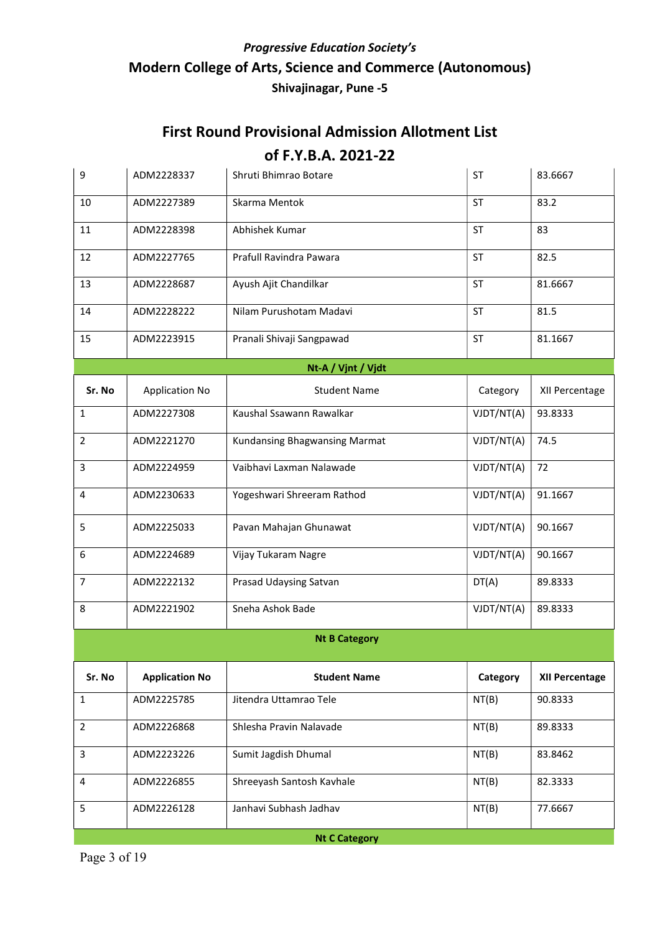| 9                    | ADM2228337            | Shruti Bhimrao Botare         | <b>ST</b>  | 83.6667               |  |  |
|----------------------|-----------------------|-------------------------------|------------|-----------------------|--|--|
| 10                   | ADM2227389            | Skarma Mentok                 | ST         | 83.2                  |  |  |
| 11                   | ADM2228398            | Abhishek Kumar                | <b>ST</b>  | 83                    |  |  |
| 12                   | ADM2227765            | Prafull Ravindra Pawara       | <b>ST</b>  | 82.5                  |  |  |
| 13                   | ADM2228687            | Ayush Ajit Chandilkar         | <b>ST</b>  | 81.6667               |  |  |
| 14                   | ADM2228222            | Nilam Purushotam Madavi       | ST         | 81.5                  |  |  |
| 15                   | ADM2223915            | Pranali Shivaji Sangpawad     | <b>ST</b>  | 81.1667               |  |  |
|                      |                       | Nt-A / Vjnt / Vjdt            |            |                       |  |  |
| Sr. No               | <b>Application No</b> | <b>Student Name</b>           | Category   | XII Percentage        |  |  |
| $\mathbf{1}$         | ADM2227308            | Kaushal Ssawann Rawalkar      | VJDT/NT(A) | 93.8333               |  |  |
| $\overline{2}$       | ADM2221270            | Kundansing Bhagwansing Marmat | VJDT/NT(A) | 74.5                  |  |  |
| 3                    | ADM2224959            | Vaibhavi Laxman Nalawade      | VJDT/NT(A) | 72                    |  |  |
| 4                    | ADM2230633            | Yogeshwari Shreeram Rathod    | VJDT/NT(A) | 91.1667               |  |  |
| 5                    | ADM2225033            | Pavan Mahajan Ghunawat        | VJDT/NT(A) | 90.1667               |  |  |
| 6                    | ADM2224689            | Vijay Tukaram Nagre           | VJDT/NT(A) | 90.1667               |  |  |
| $\overline{7}$       | ADM2222132            | Prasad Udaysing Satvan        | DT(A)      | 89.8333               |  |  |
| 8                    | ADM2221902            | Sneha Ashok Bade              | VJDT/NT(A) | 89.8333               |  |  |
|                      |                       | <b>Nt B Category</b>          |            |                       |  |  |
| Sr. No               | <b>Application No</b> | <b>Student Name</b>           | Category   | <b>XII Percentage</b> |  |  |
| $\mathbf{1}$         | ADM2225785            | Jitendra Uttamrao Tele        | NT(B)      | 90.8333               |  |  |
| $\overline{2}$       | ADM2226868            | Shlesha Pravin Nalavade       | NT(B)      | 89.8333               |  |  |
| 3                    | ADM2223226            | Sumit Jagdish Dhumal          | NT(B)      | 83.8462               |  |  |
| 4                    | ADM2226855            | Shreeyash Santosh Kavhale     | NT(B)      | 82.3333               |  |  |
| 5                    | ADM2226128            | Janhavi Subhash Jadhav        | NT(B)      | 77.6667               |  |  |
| <b>Nt C Category</b> |                       |                               |            |                       |  |  |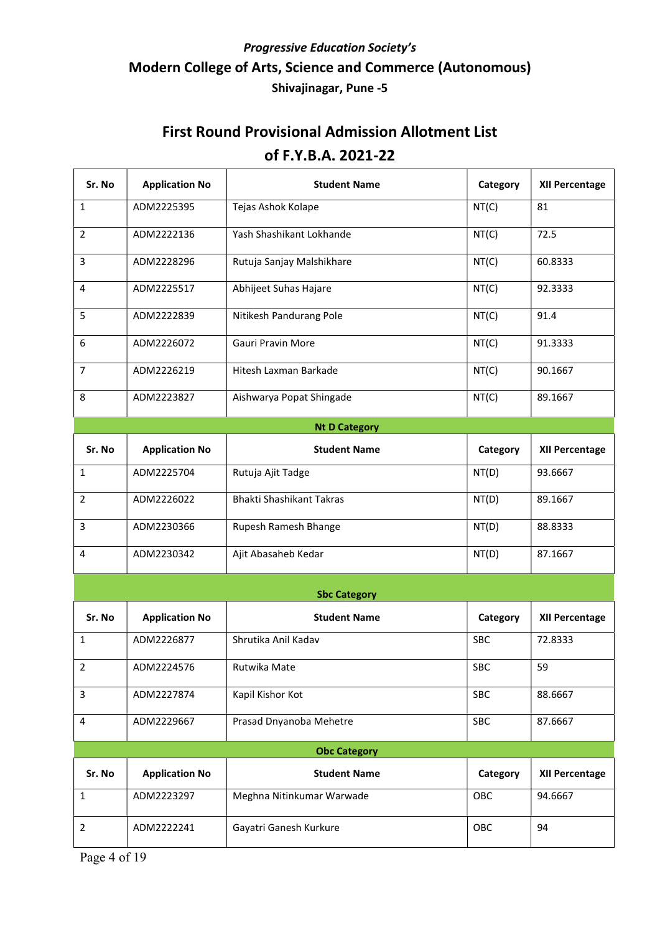| Sr. No         | <b>Application No</b> | <b>Student Name</b>       | Category   | XII Percentage        |
|----------------|-----------------------|---------------------------|------------|-----------------------|
| $\mathbf{1}$   | ADM2225395            | Tejas Ashok Kolape        | NT(C)      | 81                    |
| $\overline{2}$ | ADM2222136            | Yash Shashikant Lokhande  | NT(C)      | 72.5                  |
| 3              | ADM2228296            | Rutuja Sanjay Malshikhare | NT(C)      | 60.8333               |
| 4              | ADM2225517            | Abhijeet Suhas Hajare     | NT(C)      | 92.3333               |
| 5              | ADM2222839            | Nitikesh Pandurang Pole   | NT(C)      | 91.4                  |
| 6              | ADM2226072            | Gauri Pravin More         | NT(C)      | 91.3333               |
| $\overline{7}$ | ADM2226219            | Hitesh Laxman Barkade     | NT(C)      | 90.1667               |
| 8              | ADM2223827            | Aishwarya Popat Shingade  | NT(C)      | 89.1667               |
|                |                       | <b>Nt D Category</b>      |            |                       |
| Sr. No         | <b>Application No</b> | <b>Student Name</b>       | Category   | <b>XII Percentage</b> |
| $\mathbf{1}$   | ADM2225704            | Rutuja Ajit Tadge         | NT(D)      | 93.6667               |
| $\overline{2}$ | ADM2226022            | Bhakti Shashikant Takras  | NT(D)      | 89.1667               |
| 3              | ADM2230366            | Rupesh Ramesh Bhange      | NT(D)      | 88.8333               |
| 4              | ADM2230342            | Ajit Abasaheb Kedar       | NT(D)      | 87.1667               |
|                |                       | <b>Sbc Category</b>       |            |                       |
| Sr. No         | <b>Application No</b> | <b>Student Name</b>       | Category   | <b>XII Percentage</b> |
| $\mathbf{1}$   | ADM2226877            | Shrutika Anil Kadav       | <b>SBC</b> | 72.8333               |
| 2              | ADM2224576            | Rutwika Mate              | SBC        | 59                    |
| 3              | ADM2227874            | Kapil Kishor Kot          | <b>SBC</b> | 88.6667               |
| 4              | ADM2229667            | Prasad Dnyanoba Mehetre   | <b>SBC</b> | 87.6667               |
|                |                       | <b>Obc Category</b>       |            |                       |
| Sr. No         | <b>Application No</b> | <b>Student Name</b>       | Category   | <b>XII Percentage</b> |
| $\mathbf{1}$   | ADM2223297            | Meghna Nitinkumar Warwade | OBC        | 94.6667               |
| $\overline{2}$ | ADM2222241            | Gayatri Ganesh Kurkure    | OBC        | 94                    |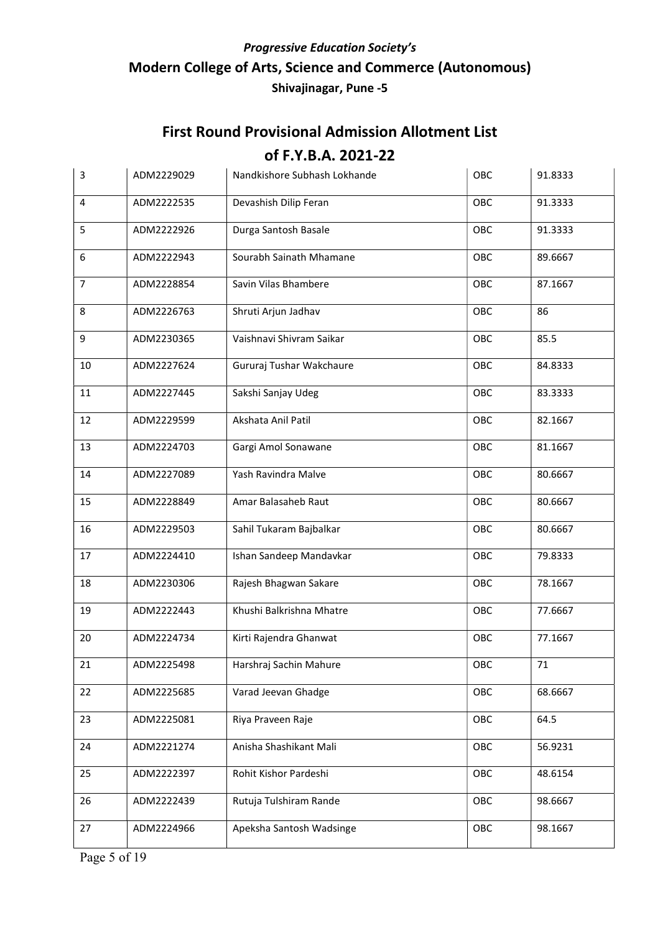# First Round Provisional Admission Allotment List

#### of F.Y.B.A. 2021-22

| 3              | ADM2229029 | Nandkishore Subhash Lokhande | OBC        | 91.8333 |
|----------------|------------|------------------------------|------------|---------|
| 4              | ADM2222535 | Devashish Dilip Feran        | OBC        | 91.3333 |
| 5              | ADM2222926 | Durga Santosh Basale         | OBC        | 91.3333 |
| 6              | ADM2222943 | Sourabh Sainath Mhamane      | OBC        | 89.6667 |
| $\overline{7}$ | ADM2228854 | Savin Vilas Bhambere         | OBC        | 87.1667 |
| 8              | ADM2226763 | Shruti Arjun Jadhav          | OBC        | 86      |
| 9              | ADM2230365 | Vaishnavi Shivram Saikar     | OBC        | 85.5    |
| 10             | ADM2227624 | Gururaj Tushar Wakchaure     | OBC        | 84.8333 |
| 11             | ADM2227445 | Sakshi Sanjay Udeg           | OBC        | 83.3333 |
| 12             | ADM2229599 | Akshata Anil Patil           | OBC        | 82.1667 |
| 13             | ADM2224703 | Gargi Amol Sonawane          | OBC        | 81.1667 |
| 14             | ADM2227089 | Yash Ravindra Malve          | OBC        | 80.6667 |
| 15             | ADM2228849 | Amar Balasaheb Raut          | OBC        | 80.6667 |
| 16             | ADM2229503 | Sahil Tukaram Bajbalkar      | OBC        | 80.6667 |
| 17             | ADM2224410 | Ishan Sandeep Mandavkar      | OBC        | 79.8333 |
| 18             | ADM2230306 | Rajesh Bhagwan Sakare        | OBC        | 78.1667 |
| 19             | ADM2222443 | Khushi Balkrishna Mhatre     | OBC        | 77.6667 |
| 20             | ADM2224734 | Kirti Rajendra Ghanwat       | OBC        | 77.1667 |
| 21             | ADM2225498 | Harshraj Sachin Mahure       | <b>OBC</b> | 71      |
| 22             | ADM2225685 | Varad Jeevan Ghadge          | OBC        | 68.6667 |
| 23             | ADM2225081 | Riya Praveen Raje            | OBC        | 64.5    |
| 24             | ADM2221274 | Anisha Shashikant Mali       | OBC        | 56.9231 |
| 25             | ADM2222397 | Rohit Kishor Pardeshi        | OBC        | 48.6154 |
| 26             | ADM2222439 | Rutuja Tulshiram Rande       | OBC        | 98.6667 |
| 27             | ADM2224966 | Apeksha Santosh Wadsinge     | OBC        | 98.1667 |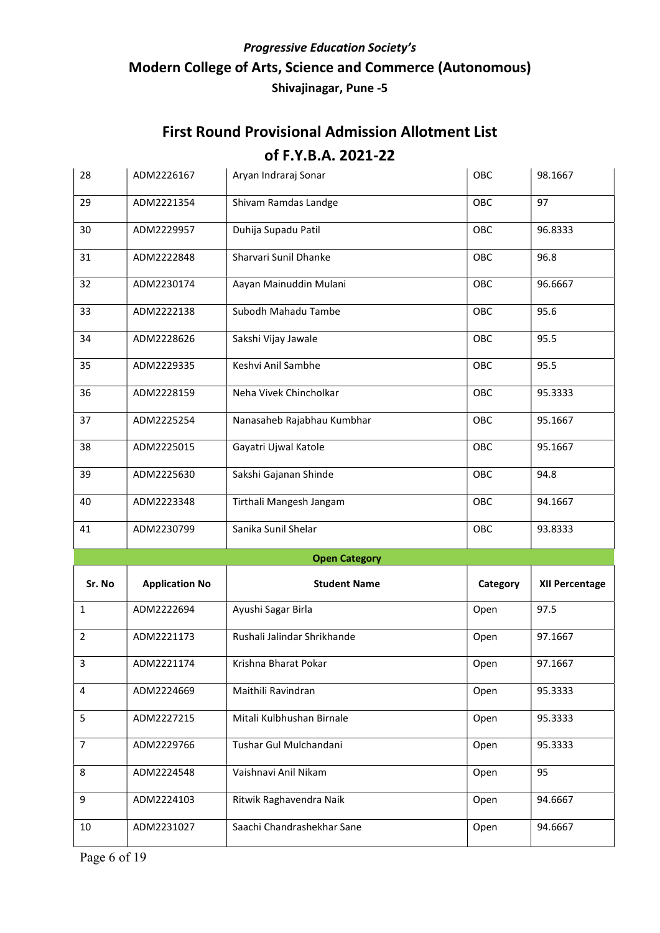| 28             | ADM2226167            | Aryan Indraraj Sonar        | OBC      | 98.1667        |
|----------------|-----------------------|-----------------------------|----------|----------------|
| 29             | ADM2221354            | Shivam Ramdas Landge        | OBC      | 97             |
| 30             | ADM2229957            | Duhija Supadu Patil         | OBC      | 96.8333        |
| 31             | ADM2222848            | Sharvari Sunil Dhanke       | OBC      | 96.8           |
| 32             | ADM2230174            | Aayan Mainuddin Mulani      | OBC      | 96.6667        |
| 33             | ADM2222138            | Subodh Mahadu Tambe         | OBC      | 95.6           |
| 34             | ADM2228626            | Sakshi Vijay Jawale         | OBC      | 95.5           |
| 35             | ADM2229335            | Keshvi Anil Sambhe          | OBC      | 95.5           |
| 36             | ADM2228159            | Neha Vivek Chincholkar      | OBC      | 95.3333        |
| 37             | ADM2225254            | Nanasaheb Rajabhau Kumbhar  | OBC      | 95.1667        |
| 38             | ADM2225015            | Gayatri Ujwal Katole        | OBC      | 95.1667        |
| 39             | ADM2225630            | Sakshi Gajanan Shinde       | OBC      | 94.8           |
| 40             | ADM2223348            | Tirthali Mangesh Jangam     | OBC      | 94.1667        |
| 41             | ADM2230799            | Sanika Sunil Shelar         | OBC      | 93.8333        |
|                |                       | <b>Open Category</b>        |          |                |
| Sr. No         | <b>Application No</b> | <b>Student Name</b>         | Category | XII Percentage |
| $\mathbf{1}$   | ADM2222694            | Ayushi Sagar Birla          | Open     | 97.5           |
| 2              | ADM2221173            | Rushali Jalindar Shrikhande | Open     | 97.1667        |
| $\overline{3}$ | ADM2221174            | Krishna Bharat Pokar        | Open     | 97.1667        |
| 4              | ADM2224669            | Maithili Ravindran          | Open     | 95.3333        |
| 5              | ADM2227215            | Mitali Kulbhushan Birnale   | Open     | 95.3333        |
| $\overline{7}$ | ADM2229766            | Tushar Gul Mulchandani      | Open     | 95.3333        |
| 8              | ADM2224548            | Vaishnavi Anil Nikam        | Open     | 95             |
| 9              | ADM2224103            | Ritwik Raghavendra Naik     | Open     | 94.6667        |
| 10             | ADM2231027            | Saachi Chandrashekhar Sane  | Open     | 94.6667        |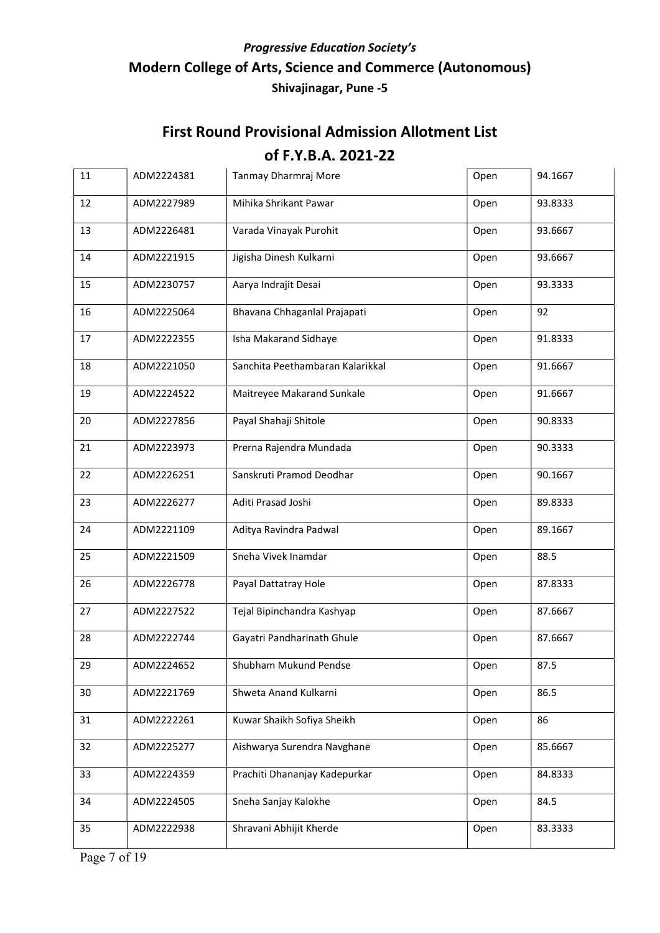| 11 | ADM2224381 | Tanmay Dharmraj More             | Open | 94.1667 |
|----|------------|----------------------------------|------|---------|
| 12 | ADM2227989 | Mihika Shrikant Pawar            | Open | 93.8333 |
| 13 | ADM2226481 | Varada Vinayak Purohit           | Open | 93.6667 |
| 14 | ADM2221915 | Jigisha Dinesh Kulkarni          | Open | 93.6667 |
| 15 | ADM2230757 | Aarya Indrajit Desai             | Open | 93.3333 |
| 16 | ADM2225064 | Bhavana Chhaganlal Prajapati     | Open | 92      |
| 17 | ADM2222355 | Isha Makarand Sidhaye            | Open | 91.8333 |
| 18 | ADM2221050 | Sanchita Peethambaran Kalarikkal | Open | 91.6667 |
| 19 | ADM2224522 | Maitreyee Makarand Sunkale       | Open | 91.6667 |
| 20 | ADM2227856 | Payal Shahaji Shitole            | Open | 90.8333 |
| 21 | ADM2223973 | Prerna Rajendra Mundada          | Open | 90.3333 |
| 22 | ADM2226251 | Sanskruti Pramod Deodhar         | Open | 90.1667 |
| 23 | ADM2226277 | Aditi Prasad Joshi               | Open | 89.8333 |
| 24 | ADM2221109 | Aditya Ravindra Padwal           | Open | 89.1667 |
| 25 | ADM2221509 | Sneha Vivek Inamdar              | Open | 88.5    |
| 26 | ADM2226778 | Payal Dattatray Hole             | Open | 87.8333 |
| 27 | ADM2227522 | Tejal Bipinchandra Kashyap       | Open | 87.6667 |
| 28 | ADM2222744 | Gayatri Pandharinath Ghule       | Open | 87.6667 |
| 29 | ADM2224652 | Shubham Mukund Pendse            | Open | 87.5    |
| 30 | ADM2221769 | Shweta Anand Kulkarni            | Open | 86.5    |
| 31 | ADM2222261 | Kuwar Shaikh Sofiya Sheikh       | Open | 86      |
| 32 | ADM2225277 | Aishwarya Surendra Navghane      | Open | 85.6667 |
| 33 | ADM2224359 | Prachiti Dhananjay Kadepurkar    | Open | 84.8333 |
| 34 | ADM2224505 | Sneha Sanjay Kalokhe             | Open | 84.5    |
| 35 | ADM2222938 | Shravani Abhijit Kherde          | Open | 83.3333 |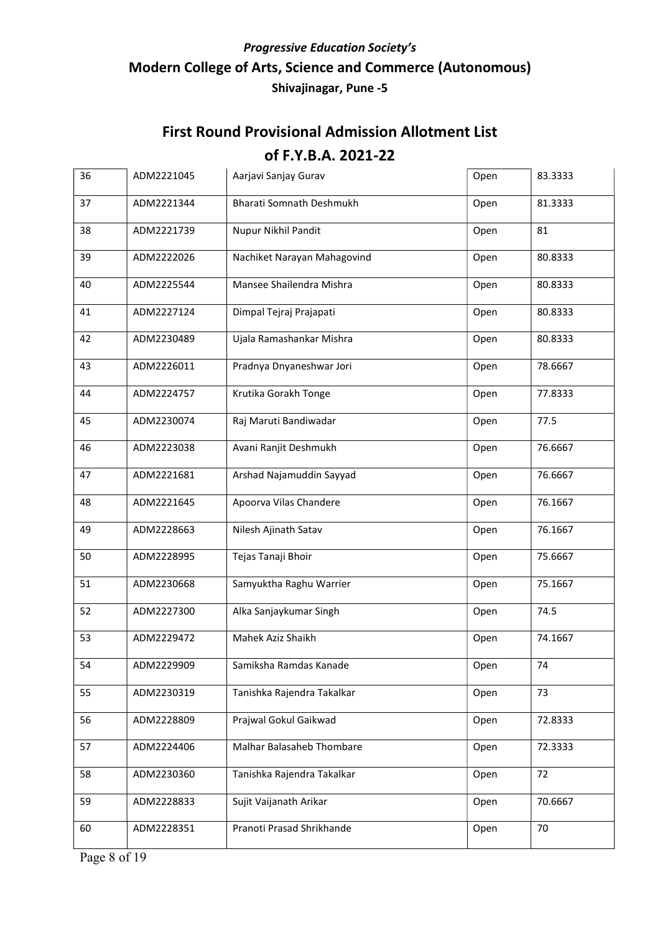| 36 | ADM2221045 | Aarjavi Sanjay Gurav            | Open | 83.3333 |
|----|------------|---------------------------------|------|---------|
| 37 | ADM2221344 | <b>Bharati Somnath Deshmukh</b> | Open | 81.3333 |
| 38 | ADM2221739 | Nupur Nikhil Pandit             | Open | 81      |
| 39 | ADM2222026 | Nachiket Narayan Mahagovind     | Open | 80.8333 |
| 40 | ADM2225544 | Mansee Shailendra Mishra        | Open | 80.8333 |
| 41 | ADM2227124 | Dimpal Tejraj Prajapati         | Open | 80.8333 |
| 42 | ADM2230489 | Ujala Ramashankar Mishra        | Open | 80.8333 |
| 43 | ADM2226011 | Pradnya Dnyaneshwar Jori        | Open | 78.6667 |
| 44 | ADM2224757 | Krutika Gorakh Tonge            | Open | 77.8333 |
| 45 | ADM2230074 | Raj Maruti Bandiwadar           | Open | 77.5    |
| 46 | ADM2223038 | Avani Ranjit Deshmukh           | Open | 76.6667 |
| 47 | ADM2221681 | Arshad Najamuddin Sayyad        | Open | 76.6667 |
| 48 | ADM2221645 | Apoorva Vilas Chandere          | Open | 76.1667 |
| 49 | ADM2228663 | Nilesh Ajinath Satav            | Open | 76.1667 |
| 50 | ADM2228995 | Tejas Tanaji Bhoir              | Open | 75.6667 |
| 51 | ADM2230668 | Samyuktha Raghu Warrier         | Open | 75.1667 |
| 52 | ADM2227300 | Alka Sanjaykumar Singh          | Open | 74.5    |
| 53 | ADM2229472 | Mahek Aziz Shaikh               | Open | 74.1667 |
| 54 | ADM2229909 | Samiksha Ramdas Kanade          | Open | 74      |
| 55 | ADM2230319 | Tanishka Rajendra Takalkar      | Open | 73      |
| 56 | ADM2228809 | Prajwal Gokul Gaikwad           | Open | 72.8333 |
| 57 | ADM2224406 | Malhar Balasaheb Thombare       | Open | 72.3333 |
| 58 | ADM2230360 | Tanishka Rajendra Takalkar      | Open | 72      |
| 59 | ADM2228833 | Sujit Vaijanath Arikar          | Open | 70.6667 |
| 60 | ADM2228351 | Pranoti Prasad Shrikhande       | Open | 70      |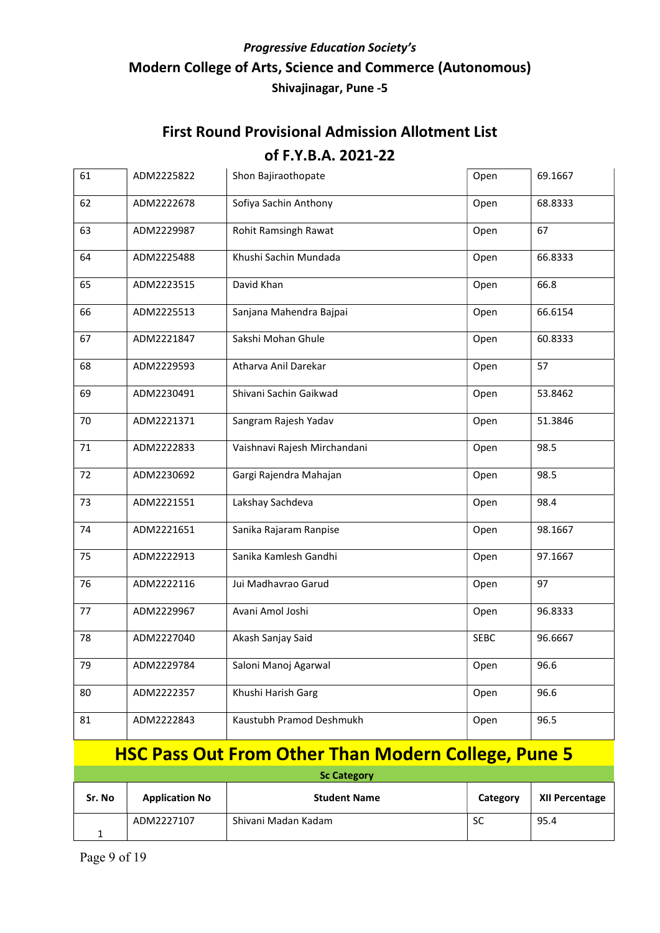| 61                 | ADM2225822 | Shon Bajiraothopate                                        | Open        | 69.1667 |  |
|--------------------|------------|------------------------------------------------------------|-------------|---------|--|
| 62                 | ADM2222678 | Sofiya Sachin Anthony                                      | Open        | 68.8333 |  |
| 63                 | ADM2229987 | Rohit Ramsingh Rawat                                       | Open        | 67      |  |
| 64                 | ADM2225488 | Khushi Sachin Mundada                                      | Open        | 66.8333 |  |
| 65                 | ADM2223515 | David Khan                                                 | Open        | 66.8    |  |
| 66                 | ADM2225513 | Sanjana Mahendra Bajpai                                    | Open        | 66.6154 |  |
| 67                 | ADM2221847 | Sakshi Mohan Ghule                                         | Open        | 60.8333 |  |
| 68                 | ADM2229593 | Atharva Anil Darekar                                       | Open        | 57      |  |
| 69                 | ADM2230491 | Shivani Sachin Gaikwad                                     | Open        | 53.8462 |  |
| 70                 | ADM2221371 | Sangram Rajesh Yadav                                       | Open        | 51.3846 |  |
| 71                 | ADM2222833 | Vaishnavi Rajesh Mirchandani                               | Open        | 98.5    |  |
| 72                 | ADM2230692 | Gargi Rajendra Mahajan                                     | Open        | 98.5    |  |
| 73                 | ADM2221551 | Lakshay Sachdeva                                           | Open        | 98.4    |  |
| 74                 | ADM2221651 | Sanika Rajaram Ranpise                                     | Open        | 98.1667 |  |
| 75                 | ADM2222913 | Sanika Kamlesh Gandhi                                      | Open        | 97.1667 |  |
| 76                 | ADM2222116 | Jui Madhavrao Garud                                        | Open        | 97      |  |
| 77                 | ADM2229967 | Avani Amol Joshi                                           | Open        | 96.8333 |  |
| 78                 | ADM2227040 | Akash Sanjay Said                                          | <b>SEBC</b> | 96.6667 |  |
| 79                 | ADM2229784 | Saloni Manoj Agarwal                                       | Open        | 96.6    |  |
| 80                 | ADM2222357 | Khushi Harish Garg                                         | Open        | 96.6    |  |
| 81                 | ADM2222843 | Kaustubh Pramod Deshmukh                                   | Open        | 96.5    |  |
|                    |            | <b>HSC Pass Out From Other Than Modern College, Pune 5</b> |             |         |  |
| <b>Sc Category</b> |            |                                                            |             |         |  |

| Sr. No | <b>Application No</b> | <b>Student Name</b> | Category | XII Percentage |
|--------|-----------------------|---------------------|----------|----------------|
|        | ADM2227107            | Shivani Madan Kadam | SC       | 95.4           |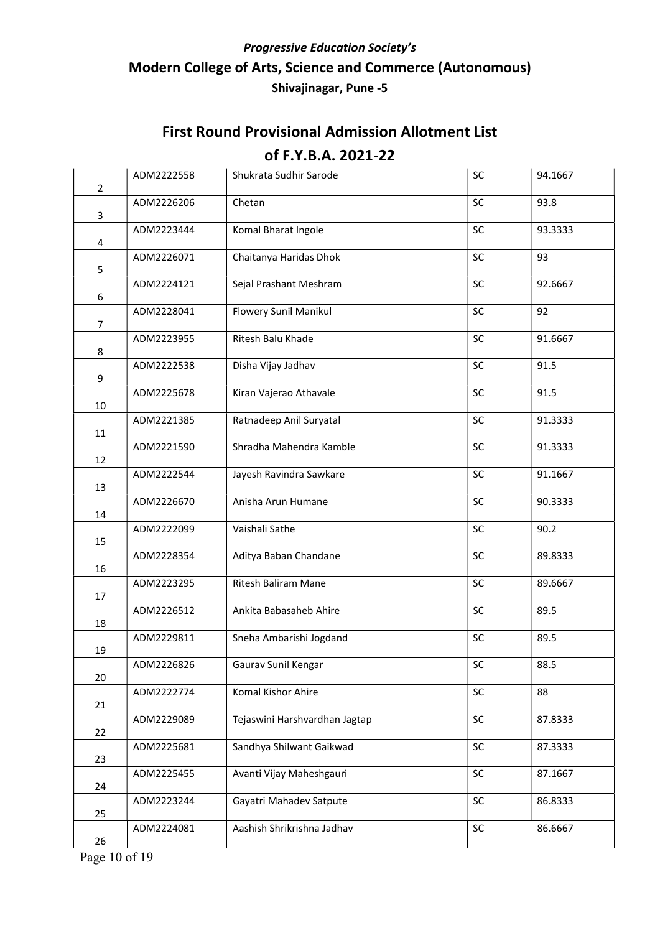| $\overline{2}$ | ADM2222558 | Shukrata Sudhir Sarode        | SC         | 94.1667 |
|----------------|------------|-------------------------------|------------|---------|
| 3              | ADM2226206 | Chetan                        | SC         | 93.8    |
| 4              | ADM2223444 | Komal Bharat Ingole           | SC         | 93.3333 |
| 5              | ADM2226071 | Chaitanya Haridas Dhok        | SC         | 93      |
| 6              | ADM2224121 | Sejal Prashant Meshram        | SC         | 92.6667 |
| $\overline{7}$ | ADM2228041 | Flowery Sunil Manikul         | SC         | 92      |
| 8              | ADM2223955 | Ritesh Balu Khade             | SC         | 91.6667 |
| 9              | ADM2222538 | Disha Vijay Jadhav            | SC         | 91.5    |
| 10             | ADM2225678 | Kiran Vajerao Athavale        | SC         | 91.5    |
| 11             | ADM2221385 | Ratnadeep Anil Suryatal       | <b>SC</b>  | 91.3333 |
| 12             | ADM2221590 | Shradha Mahendra Kamble       | SC         | 91.3333 |
| 13             | ADM2222544 | Jayesh Ravindra Sawkare       | <b>SC</b>  | 91.1667 |
| 14             | ADM2226670 | Anisha Arun Humane            | <b>SC</b>  | 90.3333 |
| 15             | ADM2222099 | Vaishali Sathe                | <b>SC</b>  | 90.2    |
| 16             | ADM2228354 | Aditya Baban Chandane         | SC         | 89.8333 |
| 17             | ADM2223295 | Ritesh Baliram Mane           | SC         | 89.6667 |
| 18             | ADM2226512 | Ankita Babasaheb Ahire        | SC         | 89.5    |
| 19             | ADM2229811 | Sneha Ambarishi Jogdand       | SC         | 89.5    |
| 20             | ADM2226826 | Gaurav Sunil Kengar           | ${\sf SC}$ | 88.5    |
| 21             | ADM2222774 | Komal Kishor Ahire            | SC         | 88      |
| 22             | ADM2229089 | Tejaswini Harshvardhan Jagtap | SC         | 87.8333 |
| 23             | ADM2225681 | Sandhya Shilwant Gaikwad      | <b>SC</b>  | 87.3333 |
| 24             | ADM2225455 | Avanti Vijay Maheshgauri      | SC         | 87.1667 |
| 25             | ADM2223244 | Gayatri Mahadev Satpute       | <b>SC</b>  | 86.8333 |
| 26             | ADM2224081 | Aashish Shrikrishna Jadhav    | <b>SC</b>  | 86.6667 |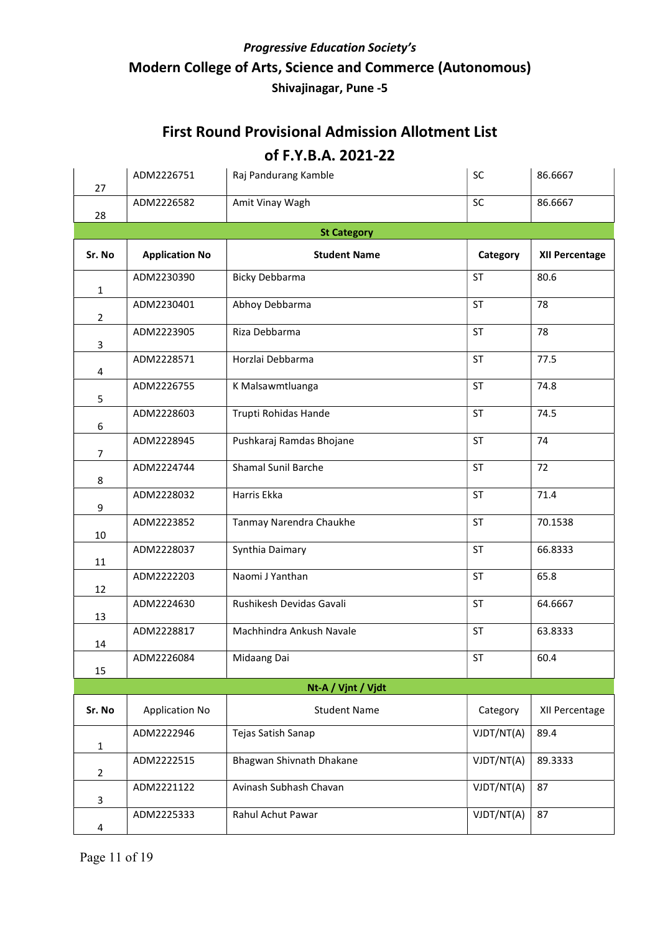### First Round Provisional Admission Allotment List

#### of F.Y.B.A. 2021-22

| 27             | ADM2226751            | Raj Pandurang Kamble       | SC         | 86.6667               |  |  |  |
|----------------|-----------------------|----------------------------|------------|-----------------------|--|--|--|
| 28             | ADM2226582            | Amit Vinay Wagh            | SC         | 86.6667               |  |  |  |
|                | <b>St Category</b>    |                            |            |                       |  |  |  |
| Sr. No         | <b>Application No</b> | <b>Student Name</b>        | Category   | <b>XII Percentage</b> |  |  |  |
| $\mathbf{1}$   | ADM2230390            | <b>Bicky Debbarma</b>      | <b>ST</b>  | 80.6                  |  |  |  |
| $\overline{2}$ | ADM2230401            | Abhoy Debbarma             | <b>ST</b>  | 78                    |  |  |  |
| 3              | ADM2223905            | Riza Debbarma              | <b>ST</b>  | 78                    |  |  |  |
| 4              | ADM2228571            | Horzlai Debbarma           | <b>ST</b>  | 77.5                  |  |  |  |
| 5              | ADM2226755            | K Malsawmtluanga           | <b>ST</b>  | 74.8                  |  |  |  |
| 6              | ADM2228603            | Trupti Rohidas Hande       | <b>ST</b>  | 74.5                  |  |  |  |
| $\overline{7}$ | ADM2228945            | Pushkaraj Ramdas Bhojane   | <b>ST</b>  | 74                    |  |  |  |
| 8              | ADM2224744            | <b>Shamal Sunil Barche</b> | <b>ST</b>  | 72                    |  |  |  |
| 9              | ADM2228032            | Harris Ekka                | <b>ST</b>  | 71.4                  |  |  |  |
| 10             | ADM2223852            | Tanmay Narendra Chaukhe    | <b>ST</b>  | 70.1538               |  |  |  |
| 11             | ADM2228037            | Synthia Daimary            | <b>ST</b>  | 66.8333               |  |  |  |
| 12             | ADM2222203            | Naomi J Yanthan            | <b>ST</b>  | 65.8                  |  |  |  |
| 13             | ADM2224630            | Rushikesh Devidas Gavali   | <b>ST</b>  | 64.6667               |  |  |  |
| 14             | ADM2228817            | Machhindra Ankush Navale   | <b>ST</b>  | 63.8333               |  |  |  |
| 15             | ADM2226084            | Midaang Dai                | ST         | 60.4                  |  |  |  |
|                |                       | Nt-A / Vjnt / Vjdt         |            |                       |  |  |  |
| Sr. No         | <b>Application No</b> | <b>Student Name</b>        | Category   | XII Percentage        |  |  |  |
| $\mathbf{1}$   | ADM2222946            | Tejas Satish Sanap         | VJDT/NT(A) | 89.4                  |  |  |  |
| $\overline{2}$ | ADM2222515            | Bhagwan Shivnath Dhakane   | VJDT/NT(A) | 89.3333               |  |  |  |
| 3              | ADM2221122            | Avinash Subhash Chavan     | VJDT/NT(A) | 87                    |  |  |  |
| 4              | ADM2225333            | Rahul Achut Pawar          | VJDT/NT(A) | 87                    |  |  |  |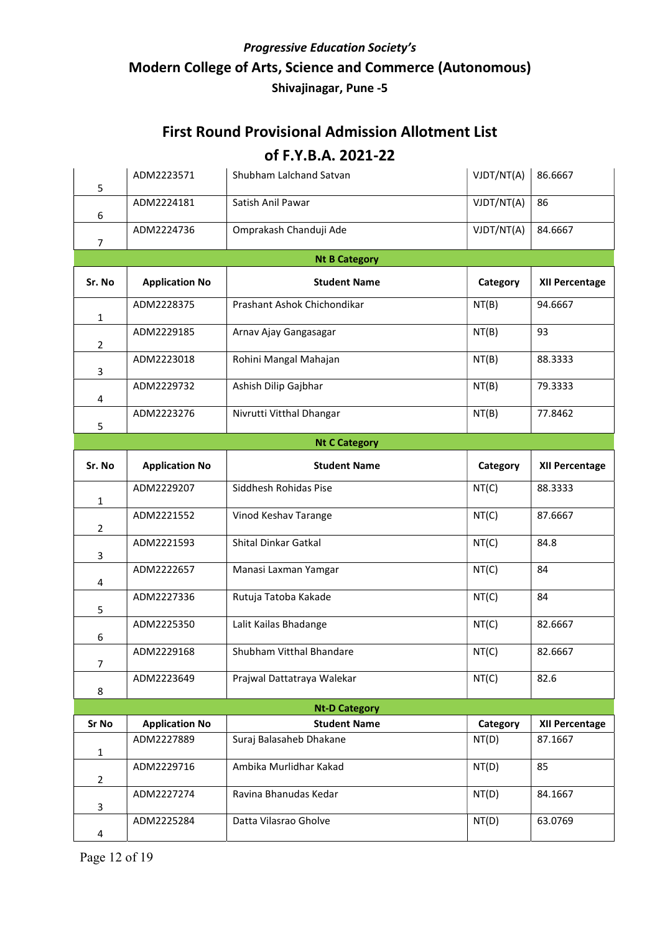### First Round Provisional Admission Allotment List

#### of F.Y.B.A. 2021-22

| 5              | ADM2223571            | Shubham Lalchand Satvan     | VJDT/NT(A) | 86.6667               |  |  |  |
|----------------|-----------------------|-----------------------------|------------|-----------------------|--|--|--|
| 6              | ADM2224181            | Satish Anil Pawar           | VJDT/NT(A) | 86                    |  |  |  |
| $\overline{7}$ | ADM2224736            | Omprakash Chanduji Ade      | VJDT/NT(A) | 84.6667               |  |  |  |
|                | <b>Nt B Category</b>  |                             |            |                       |  |  |  |
| Sr. No         | <b>Application No</b> | <b>Student Name</b>         | Category   | <b>XII Percentage</b> |  |  |  |
| $\mathbf{1}$   | ADM2228375            | Prashant Ashok Chichondikar | NT(B)      | 94.6667               |  |  |  |
| $\overline{2}$ | ADM2229185            | Arnav Ajay Gangasagar       | NT(B)      | 93                    |  |  |  |
| 3              | ADM2223018            | Rohini Mangal Mahajan       | NT(B)      | 88.3333               |  |  |  |
| 4              | ADM2229732            | Ashish Dilip Gajbhar        | NT(B)      | 79.3333               |  |  |  |
| 5              | ADM2223276            | Nivrutti Vitthal Dhangar    | NT(B)      | 77.8462               |  |  |  |
|                |                       | <b>Nt C Category</b>        |            |                       |  |  |  |
| Sr. No         | <b>Application No</b> | <b>Student Name</b>         | Category   | <b>XII Percentage</b> |  |  |  |
| $\mathbf{1}$   | ADM2229207            | Siddhesh Rohidas Pise       | NT(C)      | 88.3333               |  |  |  |
| $\overline{2}$ | ADM2221552            | Vinod Keshav Tarange        | NT(C)      | 87.6667               |  |  |  |
| 3              | ADM2221593            | Shital Dinkar Gatkal        | NT(C)      | 84.8                  |  |  |  |
| 4              | ADM2222657            | Manasi Laxman Yamgar        | NT(C)      | 84                    |  |  |  |
| 5              | ADM2227336            | Rutuja Tatoba Kakade        | NT(C)      | 84                    |  |  |  |
| 6              | ADM2225350            | Lalit Kailas Bhadange       | NT(C)      | 82.6667               |  |  |  |
| 7              | ADM2229168            | Shubham Vitthal Bhandare    | NT(C)      | 82.6667               |  |  |  |
| 8              | ADM2223649            | Prajwal Dattatraya Walekar  | NT(C)      | 82.6                  |  |  |  |
|                |                       | <b>Nt-D Category</b>        |            |                       |  |  |  |
| Sr No          | <b>Application No</b> | <b>Student Name</b>         | Category   | XII Percentage        |  |  |  |
| $\mathbf{1}$   | ADM2227889            | Suraj Balasaheb Dhakane     | NT(D)      | 87.1667               |  |  |  |
| 2              | ADM2229716            | Ambika Murlidhar Kakad      | NT(D)      | 85                    |  |  |  |
| 3              | ADM2227274            | Ravina Bhanudas Kedar       | NT(D)      | 84.1667               |  |  |  |
| 4              | ADM2225284            | Datta Vilasrao Gholve       | NT(D)      | 63.0769               |  |  |  |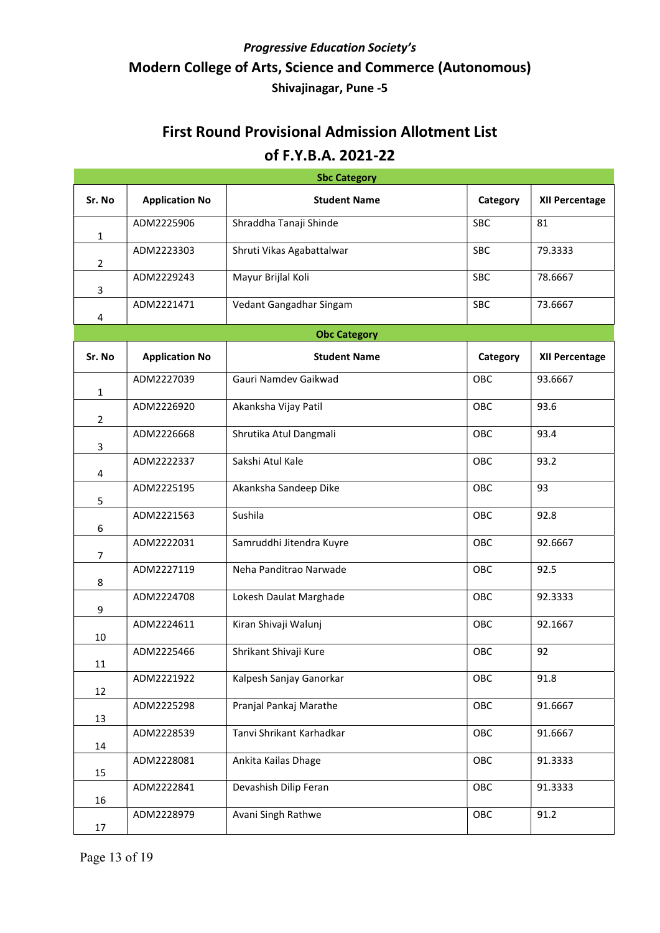| <b>Sbc Category</b> |                       |                           |            |                       |  |
|---------------------|-----------------------|---------------------------|------------|-----------------------|--|
| Sr. No              | <b>Application No</b> | <b>Student Name</b>       | Category   | <b>XII Percentage</b> |  |
| $\mathbf{1}$        | ADM2225906            | Shraddha Tanaji Shinde    | <b>SBC</b> | 81                    |  |
| $\overline{2}$      | ADM2223303            | Shruti Vikas Agabattalwar | <b>SBC</b> | 79.3333               |  |
| 3                   | ADM2229243            | Mayur Brijlal Koli        | SBC        | 78.6667               |  |
| 4                   | ADM2221471            | Vedant Gangadhar Singam   | SBC        | 73.6667               |  |
|                     |                       | <b>Obc Category</b>       |            |                       |  |
| Sr. No              | <b>Application No</b> | <b>Student Name</b>       | Category   | XII Percentage        |  |
| $\mathbf{1}$        | ADM2227039            | Gauri Namdev Gaikwad      | OBC        | 93.6667               |  |
| $\overline{2}$      | ADM2226920            | Akanksha Vijay Patil      | OBC        | 93.6                  |  |
| 3                   | ADM2226668            | Shrutika Atul Dangmali    | OBC        | 93.4                  |  |
| 4                   | ADM2222337            | Sakshi Atul Kale          | OBC        | 93.2                  |  |
| 5                   | ADM2225195            | Akanksha Sandeep Dike     | OBC        | 93                    |  |
| 6                   | ADM2221563            | Sushila                   | OBC        | 92.8                  |  |
| $\overline{7}$      | ADM2222031            | Samruddhi Jitendra Kuyre  | OBC        | 92.6667               |  |
| 8                   | ADM2227119            | Neha Panditrao Narwade    | OBC        | 92.5                  |  |
| 9                   | ADM2224708            | Lokesh Daulat Marghade    | OBC        | 92.3333               |  |
| 10                  | ADM2224611            | Kiran Shivaji Walunj      | OBC        | 92.1667               |  |
| 11                  | ADM2225466            | Shrikant Shivaji Kure     | OBC        | 92                    |  |
| 12                  | ADM2221922            | Kalpesh Sanjay Ganorkar   | OBC        | 91.8                  |  |
| 13                  | ADM2225298            | Pranjal Pankaj Marathe    | OBC        | 91.6667               |  |
| 14                  | ADM2228539            | Tanvi Shrikant Karhadkar  | OBC        | 91.6667               |  |
| 15                  | ADM2228081            | Ankita Kailas Dhage       | OBC        | 91.3333               |  |
| 16                  | ADM2222841            | Devashish Dilip Feran     | OBC        | 91.3333               |  |
| 17                  | ADM2228979            | Avani Singh Rathwe        | OBC        | 91.2                  |  |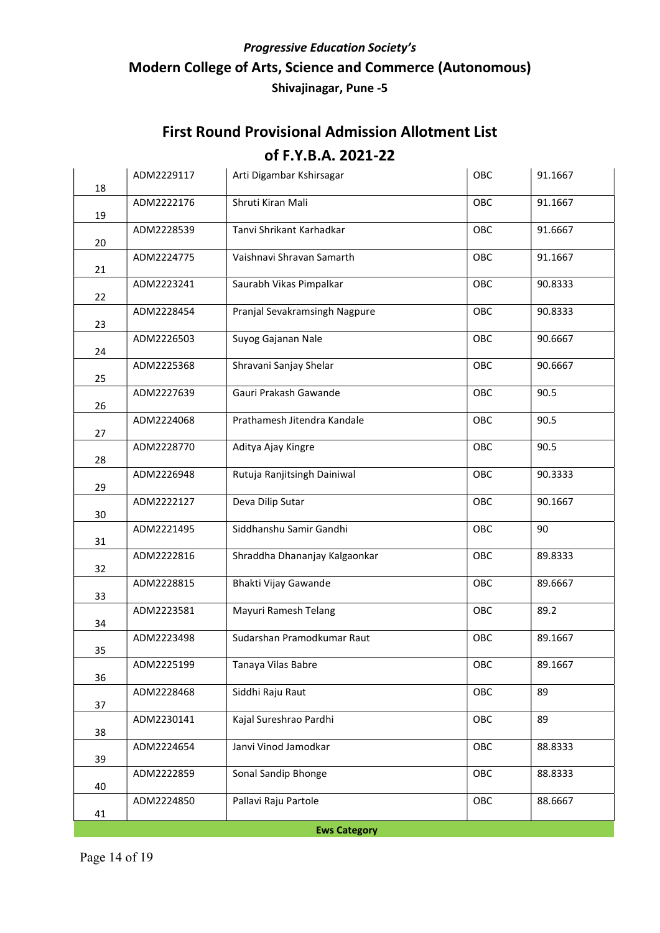| 18                  | ADM2229117 | Arti Digambar Kshirsagar      | OBC | 91.1667 |  |
|---------------------|------------|-------------------------------|-----|---------|--|
| 19                  | ADM2222176 | Shruti Kiran Mali             | OBC | 91.1667 |  |
| 20                  | ADM2228539 | Tanvi Shrikant Karhadkar      | OBC | 91.6667 |  |
| 21                  | ADM2224775 | Vaishnavi Shravan Samarth     | OBC | 91.1667 |  |
| 22                  | ADM2223241 | Saurabh Vikas Pimpalkar       | OBC | 90.8333 |  |
| 23                  | ADM2228454 | Pranjal Sevakramsingh Nagpure | OBC | 90.8333 |  |
| 24                  | ADM2226503 | Suyog Gajanan Nale            | OBC | 90.6667 |  |
| 25                  | ADM2225368 | Shravani Sanjay Shelar        | OBC | 90.6667 |  |
| 26                  | ADM2227639 | Gauri Prakash Gawande         | OBC | 90.5    |  |
| 27                  | ADM2224068 | Prathamesh Jitendra Kandale   | OBC | 90.5    |  |
| 28                  | ADM2228770 | Aditya Ajay Kingre            | OBC | 90.5    |  |
| 29                  | ADM2226948 | Rutuja Ranjitsingh Dainiwal   | OBC | 90.3333 |  |
| 30                  | ADM2222127 | Deva Dilip Sutar              | OBC | 90.1667 |  |
| 31                  | ADM2221495 | Siddhanshu Samir Gandhi       | OBC | 90      |  |
| 32                  | ADM2222816 | Shraddha Dhananjay Kalgaonkar | OBC | 89.8333 |  |
| 33                  | ADM2228815 | Bhakti Vijay Gawande          | OBC | 89.6667 |  |
| 34                  | ADM2223581 | Mayuri Ramesh Telang          | OBC | 89.2    |  |
| 35                  | ADM2223498 | Sudarshan Pramodkumar Raut    | OBC | 89.1667 |  |
| 36                  | ADM2225199 | Tanaya Vilas Babre            | OBC | 89.1667 |  |
| 37                  | ADM2228468 | Siddhi Raju Raut              | OBC | 89      |  |
| 38                  | ADM2230141 | Kajal Sureshrao Pardhi        | OBC | 89      |  |
| 39                  | ADM2224654 | Janvi Vinod Jamodkar          | OBC | 88.8333 |  |
| 40                  | ADM2222859 | Sonal Sandip Bhonge           | OBC | 88.8333 |  |
| 41                  | ADM2224850 | Pallavi Raju Partole          | OBC | 88.6667 |  |
| <b>Ews Category</b> |            |                               |     |         |  |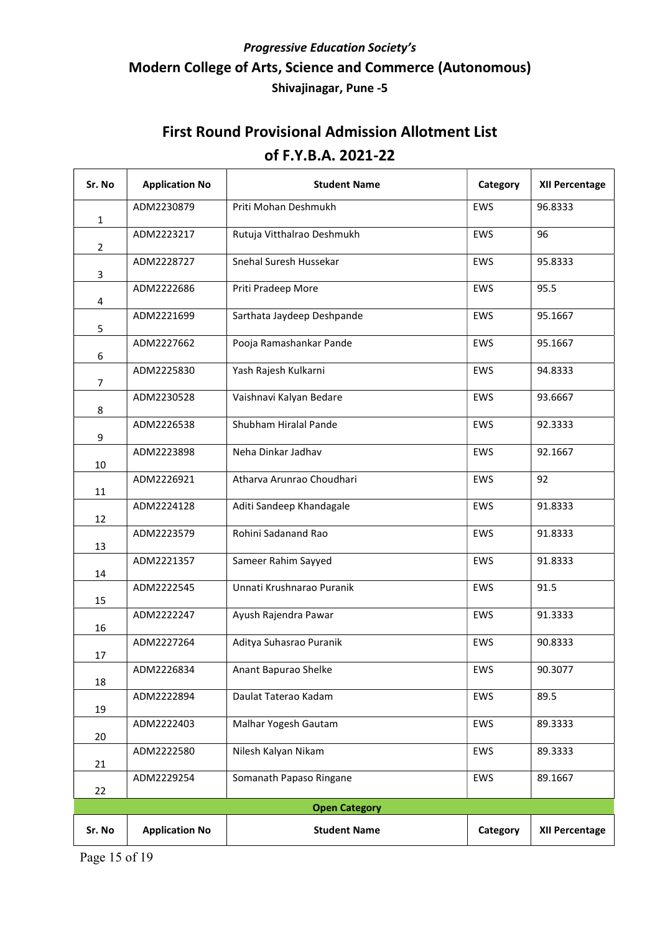| Sr. No         | <b>Application No</b> | <b>Student Name</b>        | Category   | <b>XII Percentage</b> |
|----------------|-----------------------|----------------------------|------------|-----------------------|
| $\mathbf{1}$   | ADM2230879            | Priti Mohan Deshmukh       | EWS        | 96.8333               |
| $\overline{2}$ | ADM2223217            | Rutuja Vitthalrao Deshmukh | <b>EWS</b> | 96                    |
| 3              | ADM2228727            | Snehal Suresh Hussekar     | <b>EWS</b> | 95.8333               |
| 4              | ADM2222686            | Priti Pradeep More         | <b>EWS</b> | 95.5                  |
| 5              | ADM2221699            | Sarthata Jaydeep Deshpande | <b>EWS</b> | 95.1667               |
| 6              | ADM2227662            | Pooja Ramashankar Pande    | EWS        | 95.1667               |
| 7              | ADM2225830            | Yash Rajesh Kulkarni       | <b>EWS</b> | 94.8333               |
| 8              | ADM2230528            | Vaishnavi Kalyan Bedare    | <b>EWS</b> | 93.6667               |
| 9              | ADM2226538            | Shubham Hiralal Pande      | EWS        | 92.3333               |
| 10             | ADM2223898            | Neha Dinkar Jadhav         | <b>EWS</b> | 92.1667               |
| 11             | ADM2226921            | Atharva Arunrao Choudhari  | EWS        | 92                    |
| 12             | ADM2224128            | Aditi Sandeep Khandagale   | EWS        | 91.8333               |
| 13             | ADM2223579            | Rohini Sadanand Rao        | <b>EWS</b> | 91.8333               |
| 14             | ADM2221357            | Sameer Rahim Sayyed        | <b>EWS</b> | 91.8333               |
| 15             | ADM2222545            | Unnati Krushnarao Puranik  | <b>EWS</b> | 91.5                  |
| 16             | ADM2222247            | Ayush Rajendra Pawar       | <b>EWS</b> | 91.3333               |
| 17             | ADM2227264            | Aditya Suhasrao Puranik    | EWS        | 90.8333               |
| 18             | ADM2226834            | Anant Bapurao Shelke       | EWS        | 90.3077               |
| 19             | ADM2222894            | Daulat Taterao Kadam       | EWS        | 89.5                  |
| 20             | ADM2222403            | Malhar Yogesh Gautam       | EWS        | 89.3333               |
| 21             | ADM2222580            | Nilesh Kalyan Nikam        | <b>EWS</b> | 89.3333               |
| 22             | ADM2229254            | Somanath Papaso Ringane    | EWS        | 89.1667               |
|                |                       | <b>Open Category</b>       |            |                       |
| Sr. No         | <b>Application No</b> | <b>Student Name</b>        | Category   | <b>XII Percentage</b> |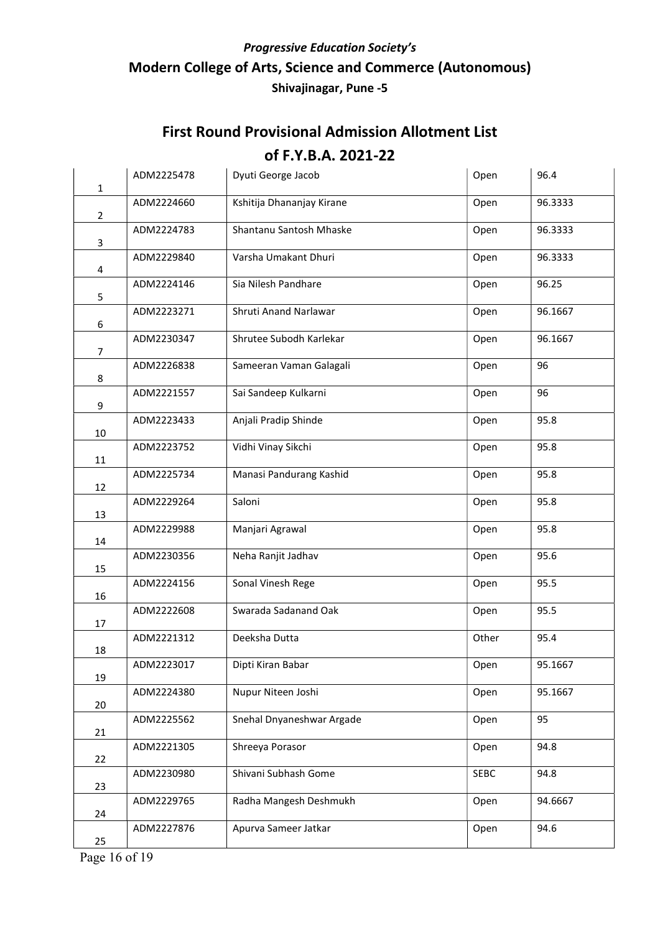| $\mathbf{1}$   | ADM2225478 | Dyuti George Jacob        | Open  | 96.4    |
|----------------|------------|---------------------------|-------|---------|
| $\overline{2}$ | ADM2224660 | Kshitija Dhananjay Kirane | Open  | 96.3333 |
| 3              | ADM2224783 | Shantanu Santosh Mhaske   | Open  | 96.3333 |
| 4              | ADM2229840 | Varsha Umakant Dhuri      | Open  | 96.3333 |
| 5              | ADM2224146 | Sia Nilesh Pandhare       | Open  | 96.25   |
| 6              | ADM2223271 | Shruti Anand Narlawar     | Open  | 96.1667 |
| $\overline{7}$ | ADM2230347 | Shrutee Subodh Karlekar   | Open  | 96.1667 |
| 8              | ADM2226838 | Sameeran Vaman Galagali   | Open  | 96      |
| 9              | ADM2221557 | Sai Sandeep Kulkarni      | Open  | 96      |
| 10             | ADM2223433 | Anjali Pradip Shinde      | Open  | 95.8    |
| 11             | ADM2223752 | Vidhi Vinay Sikchi        | Open  | 95.8    |
| 12             | ADM2225734 | Manasi Pandurang Kashid   | Open  | 95.8    |
| 13             | ADM2229264 | Saloni                    | Open  | 95.8    |
| 14             | ADM2229988 | Manjari Agrawal           | Open  | 95.8    |
| 15             | ADM2230356 | Neha Ranjit Jadhav        | Open  | 95.6    |
| 16             | ADM2224156 | Sonal Vinesh Rege         | Open  | 95.5    |
| 17             | ADM2222608 | Swarada Sadanand Oak      | Open  | 95.5    |
| 18             | ADM2221312 | Deeksha Dutta             | Other | 95.4    |
| 19             | ADM2223017 | Dipti Kiran Babar         | Open  | 95.1667 |
| 20             | ADM2224380 | Nupur Niteen Joshi        | Open  | 95.1667 |
| 21             | ADM2225562 | Snehal Dnyaneshwar Argade | Open  | 95      |
| 22             | ADM2221305 | Shreeya Porasor           | Open  | 94.8    |
| 23             | ADM2230980 | Shivani Subhash Gome      | SEBC  | 94.8    |
| 24             | ADM2229765 | Radha Mangesh Deshmukh    | Open  | 94.6667 |
| 25             | ADM2227876 | Apurva Sameer Jatkar      | Open  | 94.6    |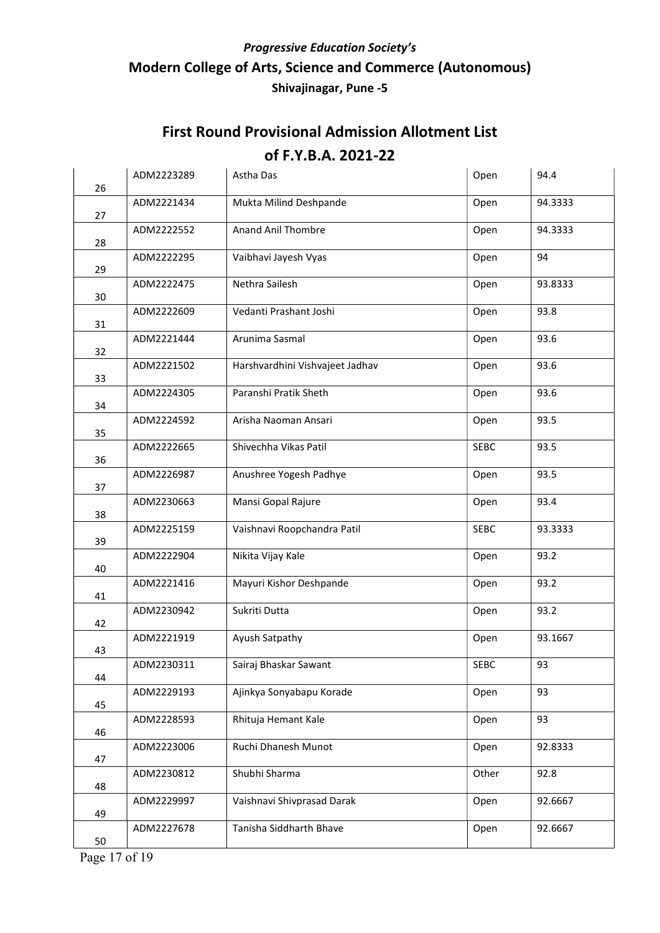| 26 | ADM2223289 | Astha Das                       | Open        | 94.4    |
|----|------------|---------------------------------|-------------|---------|
| 27 | ADM2221434 | Mukta Milind Deshpande          | Open        | 94.3333 |
| 28 | ADM2222552 | <b>Anand Anil Thombre</b>       | Open        | 94.3333 |
| 29 | ADM2222295 | Vaibhavi Jayesh Vyas            | Open        | 94      |
| 30 | ADM2222475 | Nethra Sailesh                  | Open        | 93.8333 |
| 31 | ADM2222609 | Vedanti Prashant Joshi          | Open        | 93.8    |
| 32 | ADM2221444 | Arunima Sasmal                  | Open        | 93.6    |
| 33 | ADM2221502 | Harshvardhini Vishvajeet Jadhav | Open        | 93.6    |
| 34 | ADM2224305 | Paranshi Pratik Sheth           | Open        | 93.6    |
| 35 | ADM2224592 | Arisha Naoman Ansari            | Open        | 93.5    |
| 36 | ADM2222665 | Shivechha Vikas Patil           | <b>SEBC</b> | 93.5    |
| 37 | ADM2226987 | Anushree Yogesh Padhye          | Open        | 93.5    |
| 38 | ADM2230663 | Mansi Gopal Rajure              | Open        | 93.4    |
| 39 | ADM2225159 | Vaishnavi Roopchandra Patil     | <b>SEBC</b> | 93.3333 |
| 40 | ADM2222904 | Nikita Vijay Kale               | Open        | 93.2    |
| 41 | ADM2221416 | Mayuri Kishor Deshpande         | Open        | 93.2    |
| 42 | ADM2230942 | Sukriti Dutta                   | Open        | 93.2    |
| 43 | ADM2221919 | Ayush Satpathy                  | Open        | 93.1667 |
| 44 | ADM2230311 | Sairaj Bhaskar Sawant           | <b>SEBC</b> | 93      |
| 45 | ADM2229193 | Ajinkya Sonyabapu Korade        | Open        | 93      |
| 46 | ADM2228593 | Rhituja Hemant Kale             | Open        | 93      |
| 47 | ADM2223006 | Ruchi Dhanesh Munot             | Open        | 92.8333 |
| 48 | ADM2230812 | Shubhi Sharma                   | Other       | 92.8    |
| 49 | ADM2229997 | Vaishnavi Shivprasad Darak      | Open        | 92.6667 |
| 50 | ADM2227678 | Tanisha Siddharth Bhave         | Open        | 92.6667 |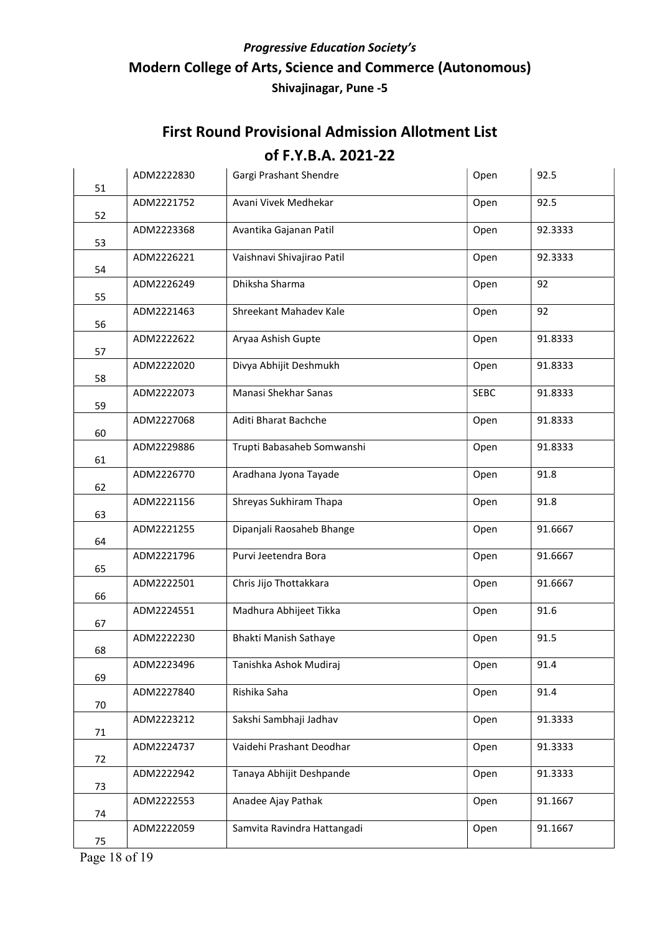| 51 | ADM2222830 | Gargi Prashant Shendre      | Open        | 92.5    |
|----|------------|-----------------------------|-------------|---------|
| 52 | ADM2221752 | Avani Vivek Medhekar        | Open        | 92.5    |
| 53 | ADM2223368 | Avantika Gajanan Patil      | Open        | 92.3333 |
| 54 | ADM2226221 | Vaishnavi Shivajirao Patil  | Open        | 92.3333 |
| 55 | ADM2226249 | Dhiksha Sharma              | Open        | 92      |
| 56 | ADM2221463 | Shreekant Mahadev Kale      | Open        | 92      |
| 57 | ADM2222622 | Aryaa Ashish Gupte          | Open        | 91.8333 |
| 58 | ADM2222020 | Divya Abhijit Deshmukh      | Open        | 91.8333 |
| 59 | ADM2222073 | Manasi Shekhar Sanas        | <b>SEBC</b> | 91.8333 |
| 60 | ADM2227068 | Aditi Bharat Bachche        | Open        | 91.8333 |
| 61 | ADM2229886 | Trupti Babasaheb Somwanshi  | Open        | 91.8333 |
| 62 | ADM2226770 | Aradhana Jyona Tayade       | Open        | 91.8    |
| 63 | ADM2221156 | Shreyas Sukhiram Thapa      | Open        | 91.8    |
| 64 | ADM2221255 | Dipanjali Raosaheb Bhange   | Open        | 91.6667 |
| 65 | ADM2221796 | Purvi Jeetendra Bora        | Open        | 91.6667 |
| 66 | ADM2222501 | Chris Jijo Thottakkara      | Open        | 91.6667 |
| 67 | ADM2224551 | Madhura Abhijeet Tikka      | Open        | 91.6    |
| 68 | ADM2222230 | Bhakti Manish Sathaye       | Open        | 91.5    |
| 69 | ADM2223496 | Tanishka Ashok Mudiraj      | Open        | 91.4    |
| 70 | ADM2227840 | Rishika Saha                | Open        | 91.4    |
| 71 | ADM2223212 | Sakshi Sambhaji Jadhav      | Open        | 91.3333 |
| 72 | ADM2224737 | Vaidehi Prashant Deodhar    | Open        | 91.3333 |
| 73 | ADM2222942 | Tanaya Abhijit Deshpande    | Open        | 91.3333 |
| 74 | ADM2222553 | Anadee Ajay Pathak          | Open        | 91.1667 |
| 75 | ADM2222059 | Samvita Ravindra Hattangadi | Open        | 91.1667 |